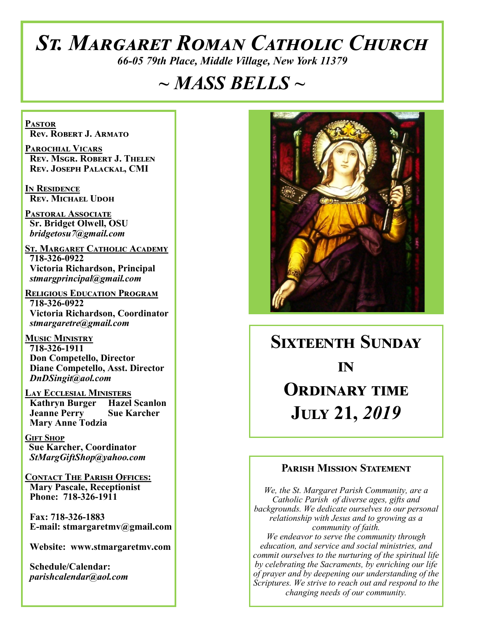# *St. Margaret Roman Catholic Church*

*66-05 79th Place, Middle Village, New York 11379*

# *~ MASS BELLS ~*

**Pastor Rev. Robert J. Armato**

**Parochial Vicars Rev. Msgr. Robert J. Thelen Rev. Joseph Palackal, CMI**

**In Residence Rev. Michael Udoh**

**Pastoral Associate Sr. Bridget Olwell, OSU**  *bridgetosu7@gmail.com*

**St. Margaret Catholic Academy 718-326-0922 Victoria Richardson, Principal**  *stmargprincipal@gmail.com*

**Religious Education Program 718-326-0922 Victoria Richardson, Coordinator** *stmargaretre@gmail.com*

**Music Ministry 718-326-1911 Don Competello, Director Diane Competello, Asst. Director** *DnDSingit@aol.com*

**Lay Ecclesial Ministers Kathryn Burger Hazel Scanlon Jeanne Perry Sue Karcher Mary Anne Todzia**

**Gift Shop Sue Karcher, Coordinator** *StMargGiftShop@yahoo.com*

**Contact The Parish Offices: Mary Pascale, Receptionist Phone: 718-326-1911** 

 **Fax: 718-326-1883 E-mail: stmargaretmv@gmail.com**

 **Website: www.stmargaretmv.com**

 **Schedule/Calendar:** *parishcalendar@aol.com* 



**Sixteenth Sunday** *in* **ORDINARY TIME July 21,** *2019* 

#### **Parish Mission Statement**

*We, the St. Margaret Parish Community, are a Catholic Parish of diverse ages, gifts and backgrounds. We dedicate ourselves to our personal relationship with Jesus and to growing as a community of faith. We endeavor to serve the community through education, and service and social ministries, and commit ourselves to the nurturing of the spiritual life by celebrating the Sacraments, by enriching our life of prayer and by deepening our understanding of the Scriptures. We strive to reach out and respond to the* 

*changing needs of our community.*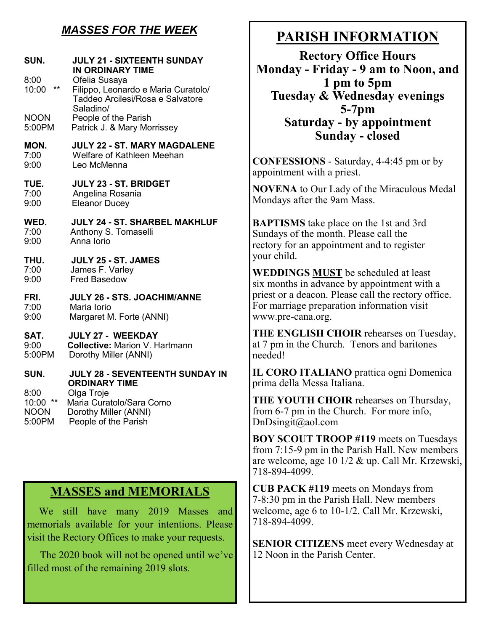## *MASSES FOR THE WEEK*

| SUN.<br>8:00<br>$***$<br>10:00<br><b>NOON</b>             | <b>JULY 21 - SIXTEENTH SUNDAY</b><br><b>IN ORDINARY TIME</b><br>Ofelia Susaya<br>Filippo, Leonardo e Maria Curatolo/<br>Taddeo Arcilesi/Rosa e Salvatore<br>Saladino/<br>People of the Parish |
|-----------------------------------------------------------|-----------------------------------------------------------------------------------------------------------------------------------------------------------------------------------------------|
| 5:00PM                                                    | Patrick J. & Mary Morrissey                                                                                                                                                                   |
| MON.                                                      | <b>JULY 22 - ST. MARY MAGDALENE</b>                                                                                                                                                           |
| 7:00                                                      | Welfare of Kathleen Meehan                                                                                                                                                                    |
| 9:00                                                      | Leo McMenna                                                                                                                                                                                   |
| TUE.                                                      | JULY 23 - ST. BRIDGET                                                                                                                                                                         |
| 7:00                                                      | Angelina Rosania                                                                                                                                                                              |
| 9:00                                                      | <b>Eleanor Ducey</b>                                                                                                                                                                          |
| WED.                                                      | <b>JULY 24 - ST. SHARBEL MAKHLUF</b>                                                                                                                                                          |
| 7:00                                                      | Anthony S. Tomaselli                                                                                                                                                                          |
| 9:00                                                      | Anna Iorio                                                                                                                                                                                    |
| THU.                                                      | JULY 25 - ST. JAMES                                                                                                                                                                           |
| 7:00                                                      | James F. Varley                                                                                                                                                                               |
| 9:00                                                      | <b>Fred Basedow</b>                                                                                                                                                                           |
| FRI.                                                      | JULY 26 - STS. JOACHIM/ANNE                                                                                                                                                                   |
| 7:00                                                      | Maria Iorio                                                                                                                                                                                   |
| 9:00                                                      | Margaret M. Forte (ANNI)                                                                                                                                                                      |
| SAT.                                                      | <b>JULY 27 - WEEKDAY</b>                                                                                                                                                                      |
| 9:00                                                      | <b>Collective: Marion V. Hartmann</b>                                                                                                                                                         |
| 5:00PM                                                    | Dorothy Miller (ANNI)                                                                                                                                                                         |
| SUN.                                                      | JULY 28 - SEVENTEENTH SUNDAY IN<br><b>ORDINARY TIME</b>                                                                                                                                       |
| 8:00<br>$^{\star\star}$<br>10:00<br><b>NOON</b><br>5:00PM | Olga Troje<br>Maria Curatolo/Sara Como<br>Dorothy Miller (ANNI)<br>People of the Parish                                                                                                       |

### **MASSES and MEMORIALS**

 We still have many 2019 Masses and memorials available for your intentions. Please visit the Rectory Offices to make your requests.

 The 2020 book will not be opened until we've filled most of the remaining 2019 slots.

# **PARISH INFORMATION**

**Rectory Office Hours Monday - Friday - 9 am to Noon, and 1 pm to 5pm Tuesday & Wednesday evenings 5-7pm Saturday - by appointment Sunday - closed**

**CONFESSIONS** - Saturday, 4-4:45 pm or by appointment with a priest.

**NOVENA** to Our Lady of the Miraculous Medal Mondays after the 9am Mass.

**BAPTISMS** take place on the 1st and 3rd Sundays of the month. Please call the rectory for an appointment and to register your child.

**WEDDINGS MUST** be scheduled at least six months in advance by appointment with a priest or a deacon. Please call the rectory office. For marriage preparation information visit www.pre-cana.org.

**THE ENGLISH CHOIR** rehearses on Tuesday, at 7 pm in the Church. Tenors and baritones needed!

**IL CORO ITALIANO** prattica ogni Domenica prima della Messa Italiana.

**THE YOUTH CHOIR** rehearses on Thursday, from 6-7 pm in the Church. For more info, DnDsingit@aol.com

**BOY SCOUT TROOP #119** meets on Tuesdays from 7:15-9 pm in the Parish Hall. New members are welcome, age 10 1/2 & up. Call Mr. Krzewski, 718-894-4099.

**CUB PACK #119** meets on Mondays from 7-8:30 pm in the Parish Hall. New members welcome, age 6 to 10-1/2. Call Mr. Krzewski, 718-894-4099.

**SENIOR CITIZENS** meet every Wednesday at 12 Noon in the Parish Center.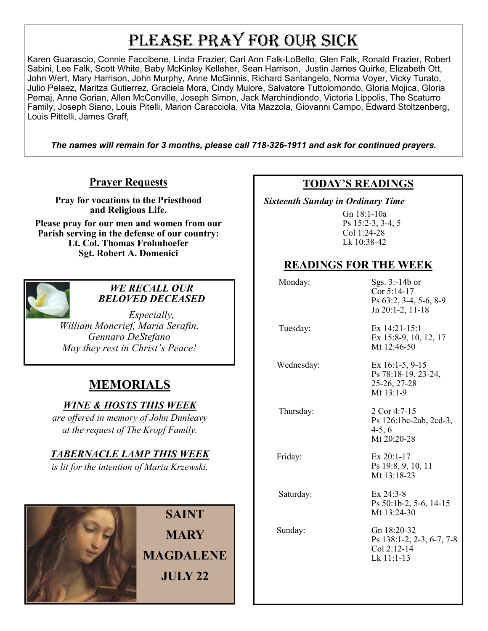# PLEASE PRAY FOR OUR SICK

Karen Guarascio, Connie Faccibene, Linda Frazier, Cari Ann Falk-LoBello, Glen Falk, Ronald Frazier, Robert Sabini, Lee Falk, Scott White, Baby McKinley Kelleher, Sean Harrison, Justin James Quirke, Elizabeth Ott, John Wert, Mary Harrison, John Murphy, Anne McGinnis, Richard Santangelo, Norma Voyer, Vicky Turato, Julio Pelaez, Maritza Gutierrez, Graciela Mora, Cindy Mulore, Salvatore Tuttolomondo, Gloria Mojica, Gloria Pemaj, Anne Gorian, Allen McConville, Joseph Simon, Jack Marchindiondo, Victoria Lippolis, The Scaturro Family, Joseph Siano, Louis Pitelli, Marion Caracciola, Vita Mazzola, Giovanni Campo, Edward Stoltzenberg, Louis Pittelli, James Graff,

*The names will remain for 3 months, please call 718-326-1911 and ask for continued prayers.*

#### **Prayer Requests**

**Pray for vocations to the Priesthood and Religious Life. Please pray for our men and women from our Parish serving in the defense of our country: Lt. Col. Thomas Frohnhoefer**

**Sgt. Robert A. Domenici** 



#### *WE RECALL OUR BELOVED DECEASED*

*Especially, William Moncrief, Maria Serafin, Gennaro DeStefano May they rest in Christ's Peace!*

## **MEMORIALS**

#### *WINE & HOSTS THIS WEEK*

*are offered in memory of John Dunleavy at the request of The Kropf Family.* 

#### *TABERNACLE LAMP THIS WEEK*

*is lit for the intention of Maria Krzewski.* 



**SAINT MARY MAGDALENE JULY 22**

#### **TODAY'S READINGS**

 *Sixteenth Sunday in Ordinary Time* 

Gn 18:1-10a Ps 15:2-3, 3-4, 5 Col 1:24-28 Lk 10:38-42

#### **READINGS FOR THE WEEK**

| Monday:    | Sgs. 3:-14b or<br>Cor 5:14-17<br>Ps 63:2, 3-4, 5-6, 8-9<br>Jn 20:1-2, 11-18 |
|------------|-----------------------------------------------------------------------------|
| Tuesday:   | Ex $14:21-15:1$<br>Ex 15:8-9, 10, 12, 17<br>Mt 12:46-50                     |
| Wednesday: | Ex $16:1-5, 9-15$<br>Ps 78:18-19, 23-24,<br>25-26, 27-28<br>Mt 13:1-9       |
| Thursday:  | 2 Cor 4:7-15<br>Ps 126:1bc-2ab, 2cd-3,<br>$4-5, 6$<br>Mt 20:20-28           |
| Friday:    | $Ex 20:1-17$<br>Ps 19:8, 9, 10, 11<br>Mt $13:18-23$                         |
| Saturday:  | $Ex$ 24:3-8<br>Ps 50:1b-2, 5-6, 14-15<br>Mt $13:24-30$                      |
| Sunday:    | Gn 18:20-32<br>Ps 138:1-2, 2-3, 6-7, 7-8<br>Col 2:12-14<br>$Lk$ 11:1-13     |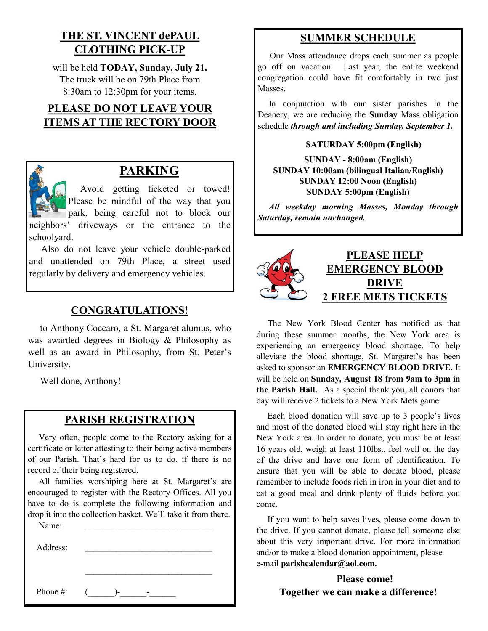### **THE ST. VINCENT dePAUL CLOTHING PICK-UP**

will be held **TODAY, Sunday, July 21.** The truck will be on 79th Place from 8:30am to 12:30pm for your items.

## **PLEASE DO NOT LEAVE YOUR ITEMS AT THE RECTORY DOOR**



## **PARKING**

 Avoid getting ticketed or towed! Please be mindful of the way that you park, being careful not to block our neighbors' driveways or the entrance to the schoolyard.

 Also do not leave your vehicle double-parked and unattended on 79th Place, a street used regularly by delivery and emergency vehicles.

#### **CONGRATULATIONS!**

 to Anthony Coccaro, a St. Margaret alumus, who was awarded degrees in Biology & Philosophy as well as an award in Philosophy, from St. Peter's University.

Well done, Anthony!

#### **PARISH REGISTRATION**

 Very often, people come to the Rectory asking for a certificate or letter attesting to their being active members of our Parish. That's hard for us to do, if there is no record of their being registered.

 All families worshiping here at St. Margaret's are encouraged to register with the Rectory Offices. All you have to do is complete the following information and drop it into the collection basket. We'll take it from there. Name:

| Address: |   |
|----------|---|
|          |   |
| Phone #: | - |

#### **SUMMER SCHEDULE**

 Our Mass attendance drops each summer as people go off on vacation. Last year, the entire weekend congregation could have fit comfortably in two just Masses.

 In conjunction with our sister parishes in the Deanery, we are reducing the **Sunday** Mass obligation schedule *through and including Sunday, September 1.* 

#### **SATURDAY 5:00pm (English)**

**SUNDAY - 8:00am (English) SUNDAY 10:00am (bilingual Italian/English) SUNDAY 12:00 Noon (English) SUNDAY 5:00pm (English)**

*All weekday morning Masses, Monday through Saturday, remain unchanged.*



#### **PLEASE HELP EMERGENCY BLOOD DRIVE 2 FREE METS TICKETS**

 The New York Blood Center has notified us that during these summer months, the New York area is experiencing an emergency blood shortage. To help alleviate the blood shortage, St. Margaret's has been asked to sponsor an **EMERGENCY BLOOD DRIVE.** It will be held on **Sunday, August 18 from 9am to 3pm in the Parish Hall.** As a special thank you, all donors that day will receive 2 tickets to a New York Mets game.

 Each blood donation will save up to 3 people's lives and most of the donated blood will stay right here in the New York area. In order to donate, you must be at least 16 years old, weigh at least 110lbs., feel well on the day of the drive and have one form of identification. To ensure that you will be able to donate blood, please remember to include foods rich in iron in your diet and to eat a good meal and drink plenty of fluids before you come.

 If you want to help saves lives, please come down to the drive. If you cannot donate, please tell someone else about this very important drive. For more information and/or to make a blood donation appointment, please e-mail **parishcalendar@aol.com.**

> **Please come! Together we can make a difference!**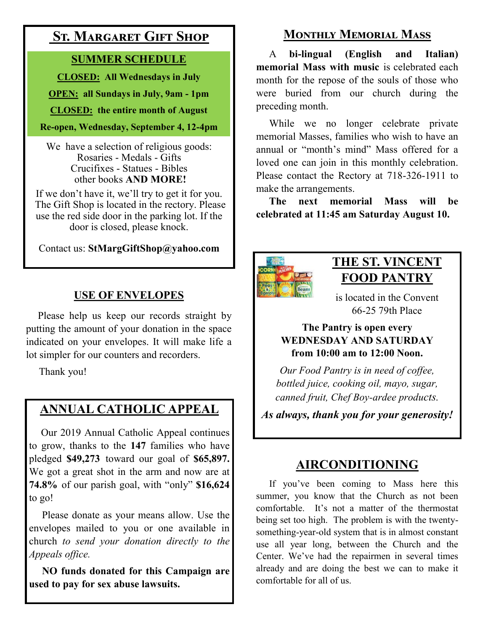## **St. Margaret Gift Shop**

## **SUMMER SCHEDULE**

**CLOSED: All Wednesdays in July**

**OPEN: all Sundays in July, 9am - 1pm**

**CLOSED: the entire month of August**

#### **Re-open, Wednesday, September 4, 12-4pm**

We have a selection of religious goods: Rosaries - Medals - Gifts Crucifixes - Statues - Bibles other books **AND MORE!**

If we don't have it, we'll try to get it for you. The Gift Shop is located in the rectory. Please use the red side door in the parking lot. If the door is closed, please knock.

Contact us: **StMargGiftShop@yahoo.com**

## **USE OF ENVELOPES**

 Please help us keep our records straight by putting the amount of your donation in the space indicated on your envelopes. It will make life a lot simpler for our counters and recorders.

Thank you!

# **ANNUAL CATHOLIC APPEAL**

 Our 2019 Annual Catholic Appeal continues to grow, thanks to the **147** families who have pledged **\$49,273** toward our goal of **\$65,897.**  We got a great shot in the arm and now are at **74.8%** of our parish goal, with "only" **\$16,624**  to go!

 Please donate as your means allow. Use the envelopes mailed to you or one available in church *to send your donation directly to the Appeals office.*

 **NO funds donated for this Campaign are used to pay for sex abuse lawsuits.** 

## **Monthly Memorial Mass**

 A **bi-lingual (English and Italian) memorial Mass with music** is celebrated each month for the repose of the souls of those who were buried from our church during the preceding month.

While we no longer celebrate private memorial Masses, families who wish to have an annual or "month's mind" Mass offered for a loved one can join in this monthly celebration. Please contact the Rectory at 718-326-1911 to make the arrangements.

 **The next memorial Mass will be celebrated at 11:45 am Saturday August 10.** 



## **THE ST. VINCENT FOOD PANTRY**

is located in the Convent 66-25 79th Place

#### **The Pantry is open every WEDNESDAY AND SATURDAY from 10:00 am to 12:00 Noon.**

*Our Food Pantry is in need of coffee, bottled juice, cooking oil, mayo, sugar, canned fruit, Chef Boy-ardee products.* 

*As always, thank you for your generosity!* 

# **AIRCONDITIONING**

 If you've been coming to Mass here this summer, you know that the Church as not been comfortable. It's not a matter of the thermostat being set too high. The problem is with the twentysomething-year-old system that is in almost constant use all year long, between the Church and the Center. We've had the repairmen in several times already and are doing the best we can to make it comfortable for all of us.